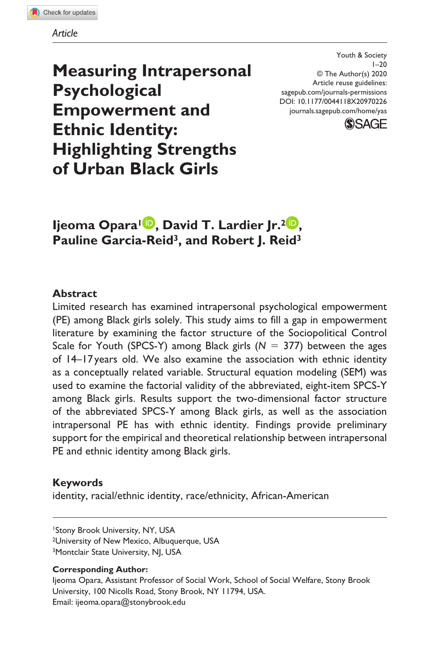

*Article*

**Measuring Intrapersonal Psychological Empowerment and Ethnic Identity: Highlighting Strengths of Urban Black Girls**

DOI: 10.1177/0044118X20970226 Youth & Society  $1 - 20$ © The Author(s) 2020 Article reuse guidelines: [sagepub.com/journals-permissions](https://us.sagepub.com/en-us/journals-permissions) [journals.sagepub.com/home/yas](https://journals.sagepub.com/home/yas)



**Ijeoma Opara<sup>1</sup> , David T. Lardier Jr.<sup>2</sup> , Pauline Garcia-Reid3, and Robert J. Reid3**

#### **Abstract**

Limited research has examined intrapersonal psychological empowerment (PE) among Black girls solely. This study aims to fill a gap in empowerment literature by examining the factor structure of the Sociopolitical Control Scale for Youth (SPCS-Y) among Black girls  $(N = 377)$  between the ages of 14–17years old. We also examine the association with ethnic identity as a conceptually related variable. Structural equation modeling (SEM) was used to examine the factorial validity of the abbreviated, eight-item SPCS-Y among Black girls. Results support the two-dimensional factor structure of the abbreviated SPCS-Y among Black girls, as well as the association intrapersonal PE has with ethnic identity. Findings provide preliminary support for the empirical and theoretical relationship between intrapersonal PE and ethnic identity among Black girls.

### **Keywords**

identity, racial/ethnic identity, race/ethnicity, African-American

#### **Corresponding Author:**

Ijeoma Opara, Assistant Professor of Social Work, School of Social Welfare, Stony Brook University, 100 Nicolls Road, Stony Brook, NY 11794, USA. Email: [ijeoma.opara@stonybrook.edu](mailto:ijeoma.opara@stonybrook.edu)

<sup>1</sup>Stony Brook University, NY, USA 2University of New Mexico, Albuquerque, USA <sup>3</sup>Montclair State University, NJ, USA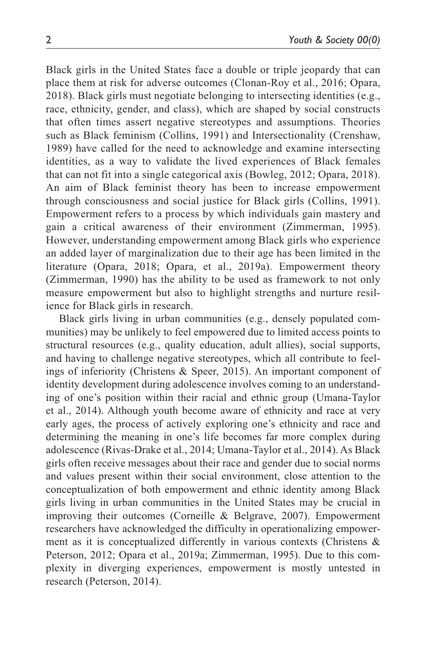Black girls in the United States face a double or triple jeopardy that can place them at risk for adverse outcomes (Clonan-Roy et al., 2016; Opara, 2018). Black girls must negotiate belonging to intersecting identities (e.g., race, ethnicity, gender, and class), which are shaped by social constructs that often times assert negative stereotypes and assumptions. Theories such as Black feminism (Collins, 1991) and Intersectionality (Crenshaw, 1989) have called for the need to acknowledge and examine intersecting identities, as a way to validate the lived experiences of Black females that can not fit into a single categorical axis (Bowleg, 2012; Opara, 2018). An aim of Black feminist theory has been to increase empowerment through consciousness and social justice for Black girls (Collins, 1991). Empowerment refers to a process by which individuals gain mastery and gain a critical awareness of their environment (Zimmerman, 1995). However, understanding empowerment among Black girls who experience an added layer of marginalization due to their age has been limited in the literature (Opara, 2018; Opara, et al., 2019a). Empowerment theory (Zimmerman, 1990) has the ability to be used as framework to not only measure empowerment but also to highlight strengths and nurture resilience for Black girls in research.

Black girls living in urban communities (e.g., densely populated communities) may be unlikely to feel empowered due to limited access points to structural resources (e.g., quality education, adult allies), social supports, and having to challenge negative stereotypes, which all contribute to feelings of inferiority (Christens & Speer, 2015). An important component of identity development during adolescence involves coming to an understanding of one's position within their racial and ethnic group (Umana-Taylor et al., 2014). Although youth become aware of ethnicity and race at very early ages, the process of actively exploring one's ethnicity and race and determining the meaning in one's life becomes far more complex during adolescence (Rivas-Drake et al., 2014; Umana-Taylor et al., 2014). As Black girls often receive messages about their race and gender due to social norms and values present within their social environment, close attention to the conceptualization of both empowerment and ethnic identity among Black girls living in urban communities in the United States may be crucial in improving their outcomes (Corneille & Belgrave, 2007). Empowerment researchers have acknowledged the difficulty in operationalizing empowerment as it is conceptualized differently in various contexts (Christens & Peterson, 2012; Opara et al., 2019a; Zimmerman, 1995). Due to this complexity in diverging experiences, empowerment is mostly untested in research (Peterson, 2014).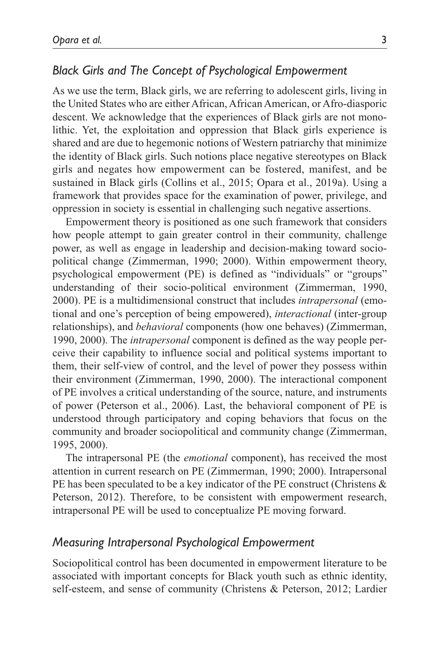## *Black Girls and The Concept of Psychological Empowerment*

As we use the term, Black girls, we are referring to adolescent girls, living in the United States who are either African, African American, or Afro-diasporic descent. We acknowledge that the experiences of Black girls are not monolithic. Yet, the exploitation and oppression that Black girls experience is shared and are due to hegemonic notions of Western patriarchy that minimize the identity of Black girls. Such notions place negative stereotypes on Black girls and negates how empowerment can be fostered, manifest, and be sustained in Black girls (Collins et al., 2015; Opara et al., 2019a). Using a framework that provides space for the examination of power, privilege, and oppression in society is essential in challenging such negative assertions.

Empowerment theory is positioned as one such framework that considers how people attempt to gain greater control in their community, challenge power, as well as engage in leadership and decision-making toward sociopolitical change (Zimmerman, 1990; 2000). Within empowerment theory, psychological empowerment (PE) is defined as "individuals" or "groups" understanding of their socio-political environment (Zimmerman, 1990, 2000). PE is a multidimensional construct that includes *intrapersonal* (emotional and one's perception of being empowered), *interactional* (inter-group relationships), and *behavioral* components (how one behaves) (Zimmerman, 1990, 2000). The *intrapersonal* component is defined as the way people perceive their capability to influence social and political systems important to them, their self-view of control, and the level of power they possess within their environment (Zimmerman, 1990, 2000). The interactional component of PE involves a critical understanding of the source, nature, and instruments of power (Peterson et al., 2006). Last, the behavioral component of PE is understood through participatory and coping behaviors that focus on the community and broader sociopolitical and community change (Zimmerman, 1995, 2000).

The intrapersonal PE (the *emotional* component), has received the most attention in current research on PE (Zimmerman, 1990; 2000). Intrapersonal PE has been speculated to be a key indicator of the PE construct (Christens & Peterson, 2012). Therefore, to be consistent with empowerment research, intrapersonal PE will be used to conceptualize PE moving forward.

### *Measuring Intrapersonal Psychological Empowerment*

Sociopolitical control has been documented in empowerment literature to be associated with important concepts for Black youth such as ethnic identity, self-esteem, and sense of community (Christens & Peterson, 2012; Lardier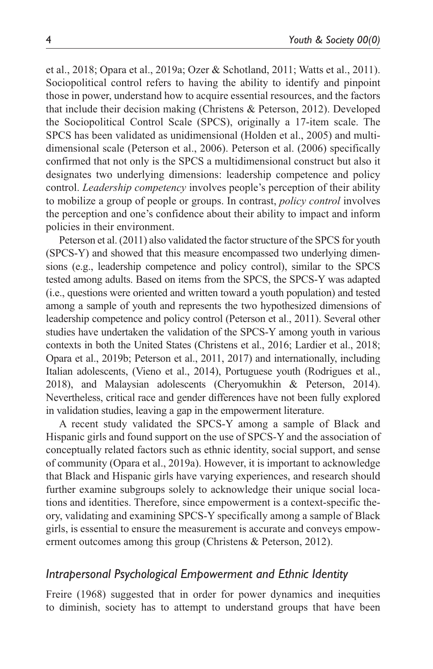et al., 2018; Opara et al., 2019a; Ozer & Schotland, 2011; Watts et al., 2011). Sociopolitical control refers to having the ability to identify and pinpoint those in power, understand how to acquire essential resources, and the factors that include their decision making (Christens & Peterson, 2012). Developed the Sociopolitical Control Scale (SPCS), originally a 17-item scale. The SPCS has been validated as unidimensional (Holden et al., 2005) and multidimensional scale (Peterson et al., 2006). Peterson et al. (2006) specifically confirmed that not only is the SPCS a multidimensional construct but also it designates two underlying dimensions: leadership competence and policy control. *Leadership competency* involves people's perception of their ability to mobilize a group of people or groups. In contrast, *policy control* involves the perception and one's confidence about their ability to impact and inform policies in their environment.

Peterson et al. (2011) also validated the factor structure of the SPCS for youth (SPCS-Y) and showed that this measure encompassed two underlying dimensions (e.g., leadership competence and policy control), similar to the SPCS tested among adults. Based on items from the SPCS, the SPCS-Y was adapted (i.e., questions were oriented and written toward a youth population) and tested among a sample of youth and represents the two hypothesized dimensions of leadership competence and policy control (Peterson et al., 2011). Several other studies have undertaken the validation of the SPCS-Y among youth in various contexts in both the United States (Christens et al., 2016; Lardier et al., 2018; Opara et al., 2019b; Peterson et al., 2011, 2017) and internationally, including Italian adolescents, (Vieno et al., 2014), Portuguese youth (Rodrigues et al., 2018), and Malaysian adolescents (Cheryomukhin & Peterson, 2014). Nevertheless, critical race and gender differences have not been fully explored in validation studies, leaving a gap in the empowerment literature.

A recent study validated the SPCS-Y among a sample of Black and Hispanic girls and found support on the use of SPCS-Y and the association of conceptually related factors such as ethnic identity, social support, and sense of community (Opara et al., 2019a). However, it is important to acknowledge that Black and Hispanic girls have varying experiences, and research should further examine subgroups solely to acknowledge their unique social locations and identities. Therefore, since empowerment is a context-specific theory, validating and examining SPCS-Y specifically among a sample of Black girls, is essential to ensure the measurement is accurate and conveys empowerment outcomes among this group (Christens & Peterson, 2012).

### *Intrapersonal Psychological Empowerment and Ethnic Identity*

Freire (1968) suggested that in order for power dynamics and inequities to diminish, society has to attempt to understand groups that have been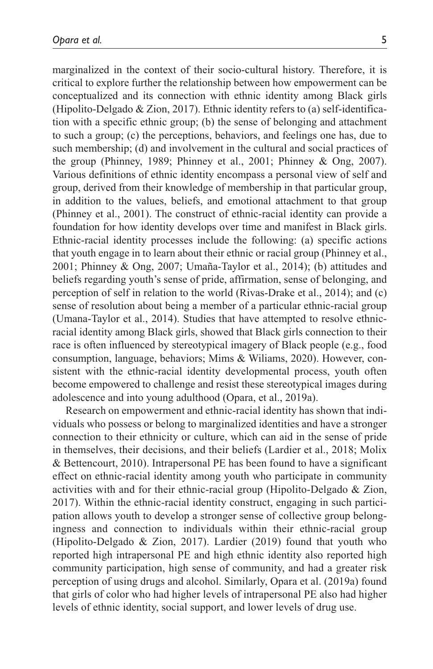marginalized in the context of their socio-cultural history. Therefore, it is critical to explore further the relationship between how empowerment can be conceptualized and its connection with ethnic identity among Black girls (Hipolito-Delgado & Zion, 2017). Ethnic identity refers to (a) self-identification with a specific ethnic group; (b) the sense of belonging and attachment to such a group; (c) the perceptions, behaviors, and feelings one has, due to such membership; (d) and involvement in the cultural and social practices of the group (Phinney, 1989; Phinney et al., 2001; Phinney & Ong, 2007). Various definitions of ethnic identity encompass a personal view of self and group, derived from their knowledge of membership in that particular group, in addition to the values, beliefs, and emotional attachment to that group (Phinney et al., 2001). The construct of ethnic-racial identity can provide a foundation for how identity develops over time and manifest in Black girls. Ethnic-racial identity processes include the following: (a) specific actions that youth engage in to learn about their ethnic or racial group (Phinney et al., 2001; Phinney & Ong, 2007; Umaña-Taylor et al., 2014); (b) attitudes and beliefs regarding youth's sense of pride, affirmation, sense of belonging, and perception of self in relation to the world (Rivas-Drake et al., 2014); and (c) sense of resolution about being a member of a particular ethnic-racial group (Umana-Taylor et al., 2014). Studies that have attempted to resolve ethnicracial identity among Black girls, showed that Black girls connection to their race is often influenced by stereotypical imagery of Black people (e.g., food consumption, language, behaviors; Mims & Wiliams, 2020). However, consistent with the ethnic-racial identity developmental process, youth often become empowered to challenge and resist these stereotypical images during adolescence and into young adulthood (Opara, et al., 2019a).

Research on empowerment and ethnic-racial identity has shown that individuals who possess or belong to marginalized identities and have a stronger connection to their ethnicity or culture, which can aid in the sense of pride in themselves, their decisions, and their beliefs (Lardier et al., 2018; Molix & Bettencourt, 2010). Intrapersonal PE has been found to have a significant effect on ethnic-racial identity among youth who participate in community activities with and for their ethnic-racial group (Hipolito-Delgado & Zion, 2017). Within the ethnic-racial identity construct, engaging in such participation allows youth to develop a stronger sense of collective group belongingness and connection to individuals within their ethnic-racial group (Hipolito-Delgado & Zion, 2017). Lardier (2019) found that youth who reported high intrapersonal PE and high ethnic identity also reported high community participation, high sense of community, and had a greater risk perception of using drugs and alcohol. Similarly, Opara et al. (2019a) found that girls of color who had higher levels of intrapersonal PE also had higher levels of ethnic identity, social support, and lower levels of drug use.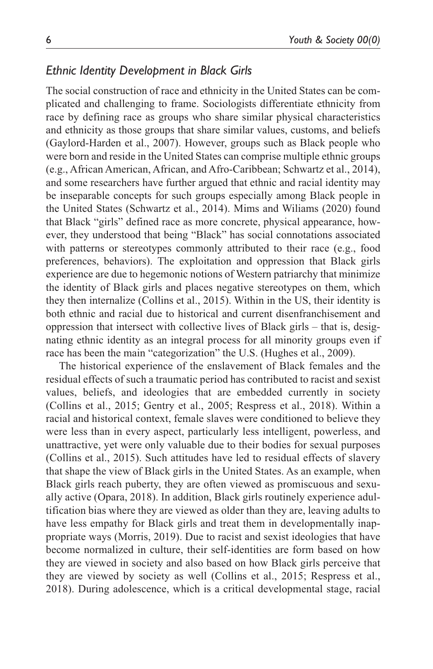## *Ethnic Identity Development in Black Girls*

The social construction of race and ethnicity in the United States can be complicated and challenging to frame. Sociologists differentiate ethnicity from race by defining race as groups who share similar physical characteristics and ethnicity as those groups that share similar values, customs, and beliefs (Gaylord-Harden et al., 2007). However, groups such as Black people who were born and reside in the United States can comprise multiple ethnic groups (e.g., African American, African, and Afro-Caribbean; Schwartz et al., 2014), and some researchers have further argued that ethnic and racial identity may be inseparable concepts for such groups especially among Black people in the United States (Schwartz et al., 2014). Mims and Wiliams (2020) found that Black "girls" defined race as more concrete, physical appearance, however, they understood that being "Black" has social connotations associated with patterns or stereotypes commonly attributed to their race (e.g., food preferences, behaviors). The exploitation and oppression that Black girls experience are due to hegemonic notions of Western patriarchy that minimize the identity of Black girls and places negative stereotypes on them, which they then internalize (Collins et al., 2015). Within in the US, their identity is both ethnic and racial due to historical and current disenfranchisement and oppression that intersect with collective lives of Black girls – that is, designating ethnic identity as an integral process for all minority groups even if race has been the main "categorization" the U.S. (Hughes et al., 2009).

The historical experience of the enslavement of Black females and the residual effects of such a traumatic period has contributed to racist and sexist values, beliefs, and ideologies that are embedded currently in society (Collins et al., 2015; Gentry et al., 2005; Respress et al., 2018). Within a racial and historical context, female slaves were conditioned to believe they were less than in every aspect, particularly less intelligent, powerless, and unattractive, yet were only valuable due to their bodies for sexual purposes (Collins et al., 2015). Such attitudes have led to residual effects of slavery that shape the view of Black girls in the United States. As an example, when Black girls reach puberty, they are often viewed as promiscuous and sexually active (Opara, 2018). In addition, Black girls routinely experience adultification bias where they are viewed as older than they are, leaving adults to have less empathy for Black girls and treat them in developmentally inappropriate ways (Morris, 2019). Due to racist and sexist ideologies that have become normalized in culture, their self-identities are form based on how they are viewed in society and also based on how Black girls perceive that they are viewed by society as well (Collins et al., 2015; Respress et al., 2018). During adolescence, which is a critical developmental stage, racial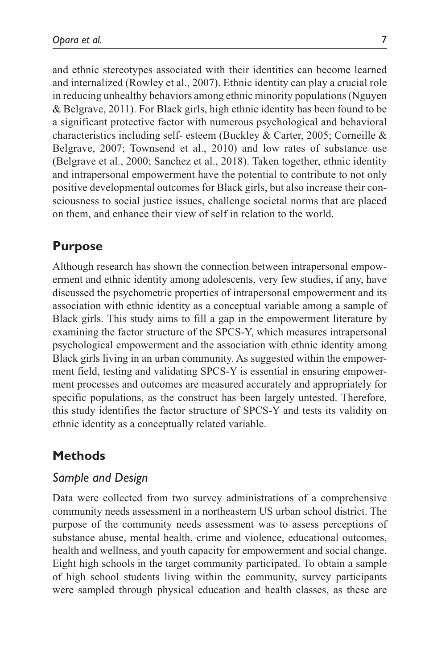and ethnic stereotypes associated with their identities can become learned and internalized (Rowley et al., 2007). Ethnic identity can play a crucial role in reducing unhealthy behaviors among ethnic minority populations (Nguyen & Belgrave, 2011). For Black girls, high ethnic identity has been found to be a significant protective factor with numerous psychological and behavioral characteristics including self- esteem (Buckley & Carter, 2005; Corneille & Belgrave, 2007; Townsend et al., 2010) and low rates of substance use (Belgrave et al., 2000; Sanchez et al., 2018). Taken together, ethnic identity and intrapersonal empowerment have the potential to contribute to not only positive developmental outcomes for Black girls, but also increase their consciousness to social justice issues, challenge societal norms that are placed on them, and enhance their view of self in relation to the world.

## **Purpose**

Although research has shown the connection between intrapersonal empowerment and ethnic identity among adolescents, very few studies, if any, have discussed the psychometric properties of intrapersonal empowerment and its association with ethnic identity as a conceptual variable among a sample of Black girls. This study aims to fill a gap in the empowerment literature by examining the factor structure of the SPCS-Y, which measures intrapersonal psychological empowerment and the association with ethnic identity among Black girls living in an urban community. As suggested within the empowerment field, testing and validating SPCS-Y is essential in ensuring empowerment processes and outcomes are measured accurately and appropriately for specific populations, as the construct has been largely untested. Therefore, this study identifies the factor structure of SPCS-Y and tests its validity on ethnic identity as a conceptually related variable.

## **Methods**

#### *Sample and Design*

Data were collected from two survey administrations of a comprehensive community needs assessment in a northeastern US urban school district. The purpose of the community needs assessment was to assess perceptions of substance abuse, mental health, crime and violence, educational outcomes, health and wellness, and youth capacity for empowerment and social change. Eight high schools in the target community participated. To obtain a sample of high school students living within the community, survey participants were sampled through physical education and health classes, as these are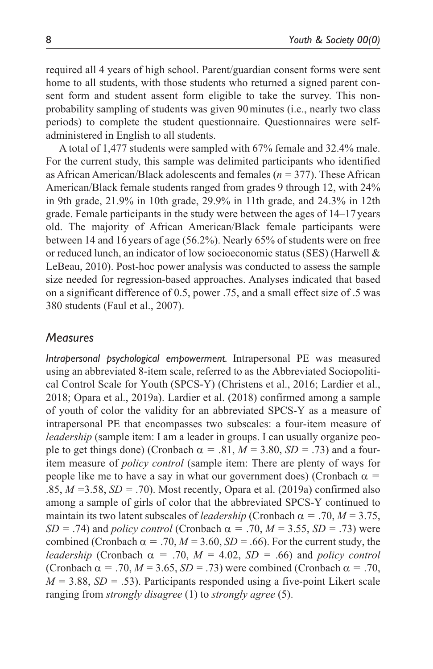required all 4 years of high school. Parent/guardian consent forms were sent home to all students, with those students who returned a signed parent consent form and student assent form eligible to take the survey. This nonprobability sampling of students was given 90minutes (i.e., nearly two class periods) to complete the student questionnaire. Questionnaires were selfadministered in English to all students.

A total of 1,477 students were sampled with 67% female and 32.4% male. For the current study, this sample was delimited participants who identified as African American/Black adolescents and females (*n =* 377). These African American/Black female students ranged from grades 9 through 12, with 24% in 9th grade, 21.9% in 10th grade, 29.9% in 11th grade, and 24.3% in 12th grade. Female participants in the study were between the ages of 14–17 years old. The majority of African American/Black female participants were between 14 and 16 years of age (56.2%). Nearly 65% of students were on free or reduced lunch, an indicator of low socioeconomic status (SES) (Harwell & LeBeau, 2010). Post-hoc power analysis was conducted to assess the sample size needed for regression-based approaches. Analyses indicated that based on a significant difference of 0.5, power .75, and a small effect size of .5 was 380 students (Faul et al., 2007).

## *Measures*

*Intrapersonal psychological empowerment.* Intrapersonal PE was measured using an abbreviated 8-item scale, referred to as the Abbreviated Sociopolitical Control Scale for Youth (SPCS-Y) (Christens et al., 2016; Lardier et al., 2018; Opara et al., 2019a). Lardier et al. (2018) confirmed among a sample of youth of color the validity for an abbreviated SPCS-Y as a measure of intrapersonal PE that encompasses two subscales: a four-item measure of *leadership* (sample item: I am a leader in groups. I can usually organize people to get things done) (Cronbach  $\alpha = .81$ ,  $M = 3.80$ ,  $SD = .73$ ) and a fouritem measure of *policy control* (sample item: There are plenty of ways for people like me to have a say in what our government does) (Cronbach  $\alpha$  = .85, *M =*3.58, *SD =* .70). Most recently, Opara et al. (2019a) confirmed also among a sample of girls of color that the abbreviated SPCS-Y continued to maintain its two latent subscales of *leadership* (Cronbach  $\alpha = .70, M = 3.75,$ *SD* = .74) and *policy control* (Cronbach  $\alpha$  = .70, *M* = 3.55, *SD* = .73) were combined (Cronbach  $\alpha = .70$ ,  $M = 3.60$ ,  $SD = .66$ ). For the current study, the *leadership* (Cronbach  $\alpha = .70$ ,  $M = 4.02$ ,  $SD = .66$ ) and *policy control* (Cronbach  $\alpha = .70$ ,  $M = 3.65$ ,  $SD = .73$ ) were combined (Cronbach  $\alpha = .70$ ,  $M = 3.88$ ,  $SD = .53$ ). Participants responded using a five-point Likert scale ranging from *strongly disagree* (1) to *strongly agree* (5).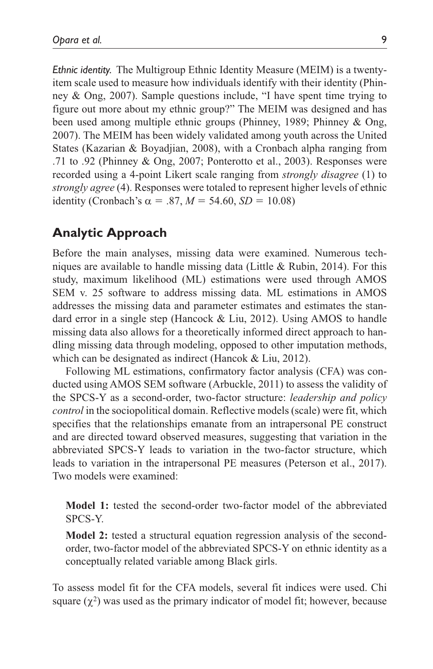*Ethnic identity.* The Multigroup Ethnic Identity Measure (MEIM) is a twentyitem scale used to measure how individuals identify with their identity (Phinney & Ong, 2007). Sample questions include, "I have spent time trying to figure out more about my ethnic group?" The MEIM was designed and has been used among multiple ethnic groups (Phinney, 1989; Phinney & Ong, 2007). The MEIM has been widely validated among youth across the United States (Kazarian & Boyadjian, 2008), with a Cronbach alpha ranging from .71 to .92 (Phinney & Ong, 2007; Ponterotto et al., 2003). Responses were recorded using a 4-point Likert scale ranging from *strongly disagree* (1) to *strongly agree* (4). Responses were totaled to represent higher levels of ethnic identity (Cronbach's  $\alpha = .87$ ,  $M = 54.60$ ,  $SD = 10.08$ )

# **Analytic Approach**

Before the main analyses, missing data were examined. Numerous techniques are available to handle missing data (Little  $& Rubin, 2014$ ). For this study, maximum likelihood (ML) estimations were used through AMOS SEM v. 25 software to address missing data. ML estimations in AMOS addresses the missing data and parameter estimates and estimates the standard error in a single step (Hancock & Liu, 2012). Using AMOS to handle missing data also allows for a theoretically informed direct approach to handling missing data through modeling, opposed to other imputation methods, which can be designated as indirect (Hancok & Liu, 2012).

Following ML estimations, confirmatory factor analysis (CFA) was conducted using AMOS SEM software (Arbuckle, 2011) to assess the validity of the SPCS-Y as a second-order, two-factor structure: *leadership and policy control* in the sociopolitical domain. Reflective models (scale) were fit, which specifies that the relationships emanate from an intrapersonal PE construct and are directed toward observed measures, suggesting that variation in the abbreviated SPCS-Y leads to variation in the two-factor structure, which leads to variation in the intrapersonal PE measures (Peterson et al., 2017). Two models were examined:

**Model 1:** tested the second-order two-factor model of the abbreviated SPCS-Y.

**Model 2:** tested a structural equation regression analysis of the secondorder, two-factor model of the abbreviated SPCS-Y on ethnic identity as a conceptually related variable among Black girls.

To assess model fit for the CFA models, several fit indices were used. Chi square  $(\chi^2)$  was used as the primary indicator of model fit; however, because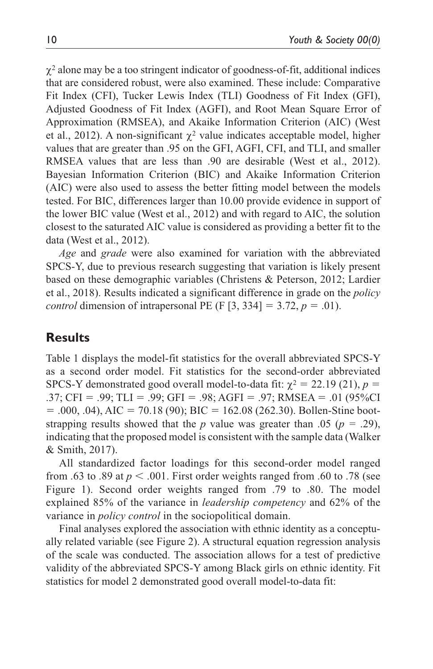$\chi^2$  alone may be a too stringent indicator of goodness-of-fit, additional indices that are considered robust, were also examined. These include: Comparative Fit Index (CFI), Tucker Lewis Index (TLI) Goodness of Fit Index (GFI), Adjusted Goodness of Fit Index (AGFI), and Root Mean Square Error of Approximation (RMSEA), and Akaike Information Criterion (AIC) (West et al., 2012). A non-significant  $\chi^2$  value indicates acceptable model, higher values that are greater than .95 on the GFI, AGFI, CFI, and TLI, and smaller RMSEA values that are less than .90 are desirable (West et al., 2012). Bayesian Information Criterion (BIC) and Akaike Information Criterion (AIC) were also used to assess the better fitting model between the models tested. For BIC, differences larger than 10.00 provide evidence in support of the lower BIC value (West et al., 2012) and with regard to AIC, the solution closest to the saturated AIC value is considered as providing a better fit to the data (West et al., 2012).

*Age* and *grade* were also examined for variation with the abbreviated SPCS-Y, due to previous research suggesting that variation is likely present based on these demographic variables (Christens & Peterson, 2012; Lardier et al., 2018). Results indicated a significant difference in grade on the *policy control* dimension of intrapersonal PE (F [3, 334] = 3.72,  $p = .01$ ).

## **Results**

Table 1 displays the model-fit statistics for the overall abbreviated SPCS-Y as a second order model. Fit statistics for the second-order abbreviated SPCS-Y demonstrated good overall model-to-data fit:  $\chi^2 = 22.19$  (21),  $p =$ .37; CFI = .99; TLI = .99; GFI = .98; AGFI = .97; RMSEA = .01 (95%CI  $= .000, .04$ ), AIC  $= 70.18$  (90); BIC  $= 162.08$  (262.30). Bollen-Stine bootstrapping results showed that the *p* value was greater than .05 ( $p = .29$ ), indicating that the proposed model is consistent with the sample data (Walker & Smith, 2017).

All standardized factor loadings for this second-order model ranged from .63 to .89 at  $p < .001$ . First order weights ranged from .60 to .78 (see Figure 1). Second order weights ranged from .79 to .80. The model explained 85% of the variance in *leadership competency* and 62% of the variance in *policy control* in the sociopolitical domain.

Final analyses explored the association with ethnic identity as a conceptually related variable (see Figure 2). A structural equation regression analysis of the scale was conducted. The association allows for a test of predictive validity of the abbreviated SPCS-Y among Black girls on ethnic identity. Fit statistics for model 2 demonstrated good overall model-to-data fit: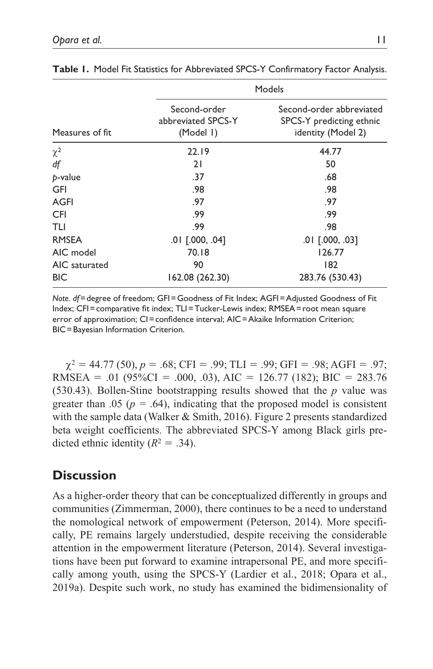| Measures of fit | Models                                          |                                                                            |
|-----------------|-------------------------------------------------|----------------------------------------------------------------------------|
|                 | Second-order<br>abbreviated SPCS-Y<br>(Model I) | Second-order abbreviated<br>SPCS-Y predicting ethnic<br>identity (Model 2) |
| $\chi^2$        | 22.19                                           | 44.77                                                                      |
| df              | 21                                              | 50                                                                         |
| p-value         | .37                                             | .68                                                                        |
| GFI             | .98                                             | .98                                                                        |
| AGFI            | .97                                             | .97                                                                        |
| <b>CFI</b>      | .99                                             | .99                                                                        |
| TLI             | .99                                             | .98                                                                        |
| <b>RMSEA</b>    | $.01$ $[.000, .04]$                             | $.01$ $[.000, .03]$                                                        |
| AIC model       | 70.18                                           | 126.77                                                                     |
| AIC saturated   | 90                                              | 182                                                                        |
| <b>BIC</b>      | 162.08 (262.30)                                 | 283.76 (530.43)                                                            |

**Table 1.** Model Fit Statistics for Abbreviated SPCS-Y Confirmatory Factor Analysis.

*Note. df*=degree of freedom; GFI=Goodness of Fit Index; AGFI=Adjusted Goodness of Fit Index; CFI=comparative fit index; TLI=Tucker-Lewis index; RMSEA=root mean square error of approximation; CI=confidence interval; AIC=Akaike Information Criterion; BIC=Bayesian Information Criterion.

 $\gamma^2 = 44.77$  (50),  $p = .68$ ; CFI = .99; TLI = .99; GFI = .98; AGFI = .97; RMSEA = .01 (95%CI = .000, .03), AIC = 126.77 (182); BIC = 283.76 (530.43). Bollen-Stine bootstrapping results showed that the *p* value was greater than .05 ( $p = .64$ ), indicating that the proposed model is consistent with the sample data (Walker & Smith, 2016). Figure 2 presents standardized beta weight coefficients. The abbreviated SPCS-Y among Black girls predicted ethnic identity  $(R^2 = .34)$ .

## **Discussion**

As a higher-order theory that can be conceptualized differently in groups and communities (Zimmerman, 2000), there continues to be a need to understand the nomological network of empowerment (Peterson, 2014). More specifically, PE remains largely understudied, despite receiving the considerable attention in the empowerment literature (Peterson, 2014). Several investigations have been put forward to examine intrapersonal PE, and more specifically among youth, using the SPCS-Y (Lardier et al., 2018; Opara et al., 2019a). Despite such work, no study has examined the bidimensionality of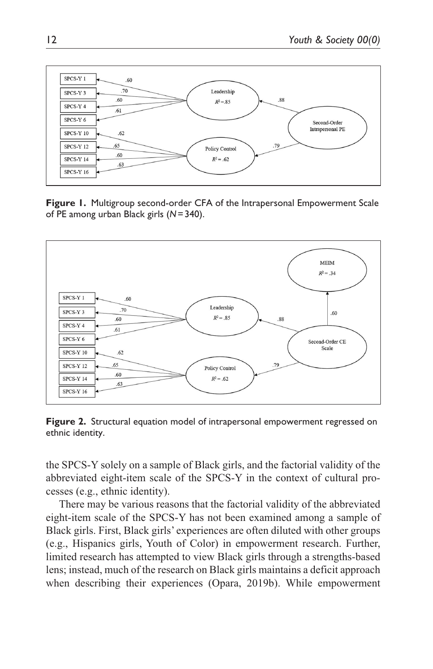

**Figure 1.** Multigroup second-order CFA of the Intrapersonal Empowerment Scale of PE among urban Black girls (*N*=340).



**Figure 2.** Structural equation model of intrapersonal empowerment regressed on ethnic identity.

the SPCS-Y solely on a sample of Black girls, and the factorial validity of the abbreviated eight-item scale of the SPCS-Y in the context of cultural processes (e.g., ethnic identity).

There may be various reasons that the factorial validity of the abbreviated eight-item scale of the SPCS-Y has not been examined among a sample of Black girls. First, Black girls' experiences are often diluted with other groups (e.g., Hispanics girls, Youth of Color) in empowerment research. Further, limited research has attempted to view Black girls through a strengths-based lens; instead, much of the research on Black girls maintains a deficit approach when describing their experiences (Opara, 2019b). While empowerment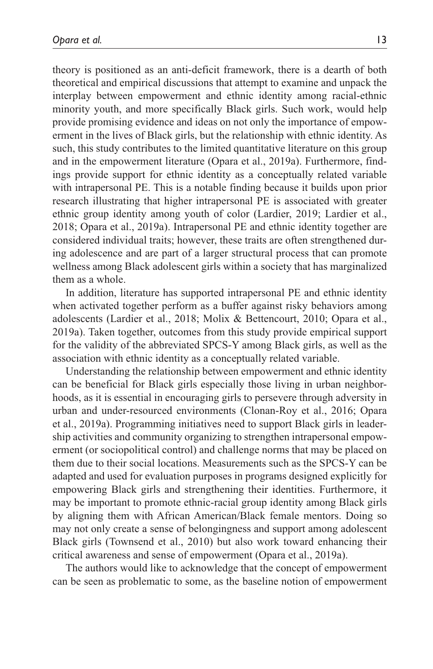theory is positioned as an anti-deficit framework, there is a dearth of both theoretical and empirical discussions that attempt to examine and unpack the interplay between empowerment and ethnic identity among racial-ethnic minority youth, and more specifically Black girls. Such work, would help provide promising evidence and ideas on not only the importance of empowerment in the lives of Black girls, but the relationship with ethnic identity. As such, this study contributes to the limited quantitative literature on this group and in the empowerment literature (Opara et al., 2019a). Furthermore, findings provide support for ethnic identity as a conceptually related variable with intrapersonal PE. This is a notable finding because it builds upon prior research illustrating that higher intrapersonal PE is associated with greater ethnic group identity among youth of color (Lardier, 2019; Lardier et al., 2018; Opara et al., 2019a). Intrapersonal PE and ethnic identity together are considered individual traits; however, these traits are often strengthened during adolescence and are part of a larger structural process that can promote wellness among Black adolescent girls within a society that has marginalized them as a whole.

In addition, literature has supported intrapersonal PE and ethnic identity when activated together perform as a buffer against risky behaviors among adolescents (Lardier et al., 2018; Molix & Bettencourt, 2010; Opara et al., 2019a). Taken together, outcomes from this study provide empirical support for the validity of the abbreviated SPCS-Y among Black girls, as well as the association with ethnic identity as a conceptually related variable.

Understanding the relationship between empowerment and ethnic identity can be beneficial for Black girls especially those living in urban neighborhoods, as it is essential in encouraging girls to persevere through adversity in urban and under-resourced environments (Clonan-Roy et al., 2016; Opara et al., 2019a). Programming initiatives need to support Black girls in leadership activities and community organizing to strengthen intrapersonal empowerment (or sociopolitical control) and challenge norms that may be placed on them due to their social locations. Measurements such as the SPCS-Y can be adapted and used for evaluation purposes in programs designed explicitly for empowering Black girls and strengthening their identities. Furthermore, it may be important to promote ethnic-racial group identity among Black girls by aligning them with African American/Black female mentors. Doing so may not only create a sense of belongingness and support among adolescent Black girls (Townsend et al., 2010) but also work toward enhancing their critical awareness and sense of empowerment (Opara et al., 2019a).

The authors would like to acknowledge that the concept of empowerment can be seen as problematic to some, as the baseline notion of empowerment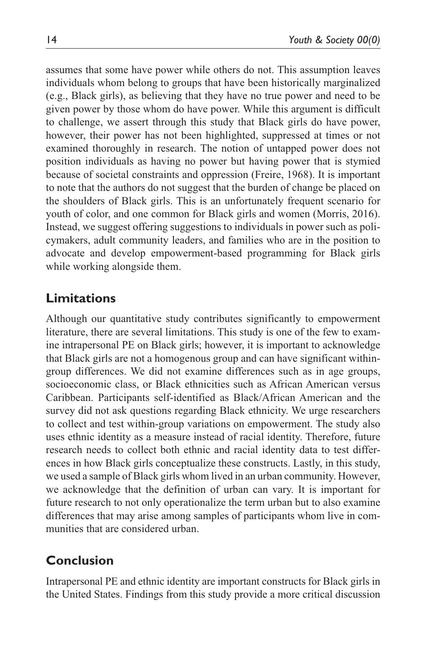assumes that some have power while others do not. This assumption leaves individuals whom belong to groups that have been historically marginalized (e.g., Black girls), as believing that they have no true power and need to be given power by those whom do have power. While this argument is difficult to challenge, we assert through this study that Black girls do have power, however, their power has not been highlighted, suppressed at times or not examined thoroughly in research. The notion of untapped power does not position individuals as having no power but having power that is stymied because of societal constraints and oppression (Freire, 1968). It is important to note that the authors do not suggest that the burden of change be placed on the shoulders of Black girls. This is an unfortunately frequent scenario for youth of color, and one common for Black girls and women (Morris, 2016). Instead, we suggest offering suggestions to individuals in power such as policymakers, adult community leaders, and families who are in the position to advocate and develop empowerment-based programming for Black girls while working alongside them.

## **Limitations**

Although our quantitative study contributes significantly to empowerment literature, there are several limitations. This study is one of the few to examine intrapersonal PE on Black girls; however, it is important to acknowledge that Black girls are not a homogenous group and can have significant withingroup differences. We did not examine differences such as in age groups, socioeconomic class, or Black ethnicities such as African American versus Caribbean. Participants self-identified as Black/African American and the survey did not ask questions regarding Black ethnicity. We urge researchers to collect and test within-group variations on empowerment. The study also uses ethnic identity as a measure instead of racial identity. Therefore, future research needs to collect both ethnic and racial identity data to test differences in how Black girls conceptualize these constructs. Lastly, in this study, we used a sample of Black girls whom lived in an urban community. However, we acknowledge that the definition of urban can vary. It is important for future research to not only operationalize the term urban but to also examine differences that may arise among samples of participants whom live in communities that are considered urban.

## **Conclusion**

Intrapersonal PE and ethnic identity are important constructs for Black girls in the United States. Findings from this study provide a more critical discussion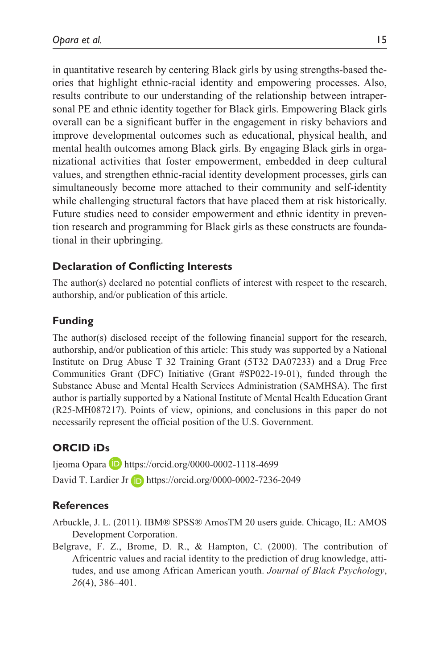in quantitative research by centering Black girls by using strengths-based theories that highlight ethnic-racial identity and empowering processes. Also, results contribute to our understanding of the relationship between intrapersonal PE and ethnic identity together for Black girls. Empowering Black girls overall can be a significant buffer in the engagement in risky behaviors and improve developmental outcomes such as educational, physical health, and mental health outcomes among Black girls. By engaging Black girls in organizational activities that foster empowerment, embedded in deep cultural values, and strengthen ethnic-racial identity development processes, girls can simultaneously become more attached to their community and self-identity while challenging structural factors that have placed them at risk historically. Future studies need to consider empowerment and ethnic identity in prevention research and programming for Black girls as these constructs are foundational in their upbringing.

### **Declaration of Conflicting Interests**

The author(s) declared no potential conflicts of interest with respect to the research, authorship, and/or publication of this article.

#### **Funding**

The author(s) disclosed receipt of the following financial support for the research, authorship, and/or publication of this article: This study was supported by a National Institute on Drug Abuse T 32 Training Grant (5T32 DA07233) and a Drug Free Communities Grant (DFC) Initiative (Grant #SP022-19-01), funded through the Substance Abuse and Mental Health Services Administration (SAMHSA). The first author is partially supported by a National Institute of Mental Health Education Grant (R25-MH087217). Points of view, opinions, and conclusions in this paper do not necessarily represent the official position of the U.S. Government.

### **ORCID iDs**

Ijeoma Opara D <https://orcid.org/0000-0002-1118-4699> David T. Lardier Jr <https://orcid.org/0000-0002-7236-2049>

#### **References**

Arbuckle, J. L. (2011). IBM® SPSS® AmosTM 20 users guide. Chicago, IL: AMOS Development Corporation.

Belgrave, F. Z., Brome, D. R., & Hampton, C. (2000). The contribution of Africentric values and racial identity to the prediction of drug knowledge, attitudes, and use among African American youth. *Journal of Black Psychology*, *26*(4), 386–401.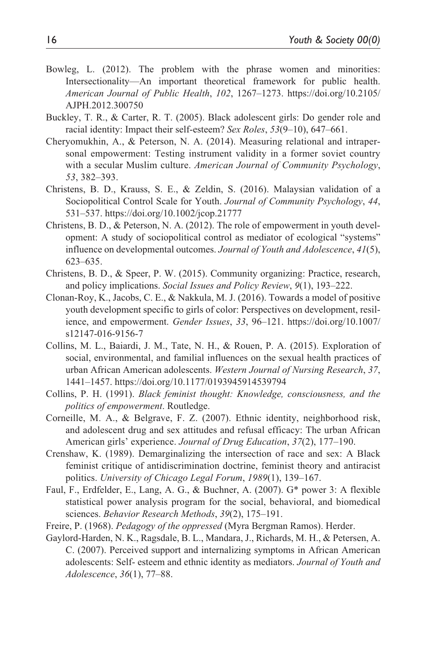- Bowleg, L. (2012). The problem with the phrase women and minorities: Intersectionality—An important theoretical framework for public health. *American Journal of Public Health*, *102*, 1267–1273. [https://doi.org/10.2105/](https://doi.org/10.2105/AJPH.2012.300750) [AJPH.2012.300750](https://doi.org/10.2105/AJPH.2012.300750)
- Buckley, T. R., & Carter, R. T. (2005). Black adolescent girls: Do gender role and racial identity: Impact their self-esteem? *Sex Roles*, *53*(9–10), 647–661.
- Cheryomukhin, A., & Peterson, N. A. (2014). Measuring relational and intrapersonal empowerment: Testing instrument validity in a former soviet country with a secular Muslim culture. *American Journal of Community Psychology*, *53*, 382–393.
- Christens, B. D., Krauss, S. E., & Zeldin, S. (2016). Malaysian validation of a Sociopolitical Control Scale for Youth. *Journal of Community Psychology*, *44*, 531–537. <https://doi.org/10.1002/jcop.21777>
- Christens, B. D., & Peterson, N. A. (2012). The role of empowerment in youth development: A study of sociopolitical control as mediator of ecological "systems" influence on developmental outcomes. *Journal of Youth and Adolescence*, *41*(5), 623–635.
- Christens, B. D., & Speer, P. W. (2015). Community organizing: Practice, research, and policy implications. *Social Issues and Policy Review*, *9*(1), 193–222.
- Clonan-Roy, K., Jacobs, C. E., & Nakkula, M. J. (2016). Towards a model of positive youth development specific to girls of color: Perspectives on development, resilience, and empowerment. *Gender Issues*, *33*, 96–121. [https://doi.org/10.1007/](https://doi.org/10.1007/s12147-016-9156-7) [s12147-016-9156-7](https://doi.org/10.1007/s12147-016-9156-7)
- Collins, M. L., Baiardi, J. M., Tate, N. H., & Rouen, P. A. (2015). Exploration of social, environmental, and familial influences on the sexual health practices of urban African American adolescents. *Western Journal of Nursing Research*, *37*, 1441–1457. <https://doi.org/10.1177/0193945914539794>
- Collins, P. H. (1991). *Black feminist thought: Knowledge, consciousness, and the politics of empowerment*. Routledge.
- Corneille, M. A., & Belgrave, F. Z. (2007). Ethnic identity, neighborhood risk, and adolescent drug and sex attitudes and refusal efficacy: The urban African American girls' experience. *Journal of Drug Education*, *37*(2), 177–190.
- Crenshaw, K. (1989). Demarginalizing the intersection of race and sex: A Black feminist critique of antidiscrimination doctrine, feminist theory and antiracist politics. *University of Chicago Legal Forum*, *1989*(1), 139–167.
- Faul, F., Erdfelder, E., Lang, A. G., & Buchner, A. (2007). G\* power 3: A flexible statistical power analysis program for the social, behavioral, and biomedical sciences. *Behavior Research Methods*, *39*(2), 175–191.
- Freire, P. (1968). *Pedagogy of the oppressed* (Myra Bergman Ramos). Herder.
- Gaylord-Harden, N. K., Ragsdale, B. L., Mandara, J., Richards, M. H., & Petersen, A. C. (2007). Perceived support and internalizing symptoms in African American adolescents: Self- esteem and ethnic identity as mediators. *Journal of Youth and Adolescence*, *36*(1), 77–88.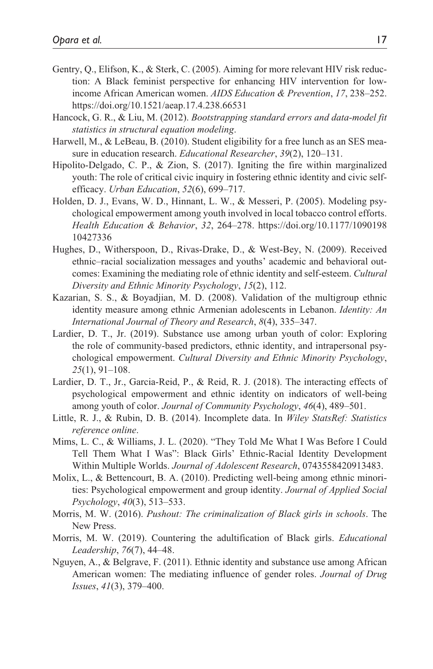- Gentry, Q., Elifson, K., & Sterk, C. (2005). Aiming for more relevant HIV risk reduction: A Black feminist perspective for enhancing HIV intervention for lowincome African American women. *AIDS Education & Prevention*, *17*, 238–252. <https://doi.org/10.1521/aeap.17.4.238.66531>
- Hancock, G. R., & Liu, M. (2012). *Bootstrapping standard errors and data-model fit statistics in structural equation modeling*.
- Harwell, M., & LeBeau, B. (2010). Student eligibility for a free lunch as an SES measure in education research. *Educational Researcher*, *39*(2), 120–131.
- Hipolito-Delgado, C. P., & Zion, S. (2017). Igniting the fire within marginalized youth: The role of critical civic inquiry in fostering ethnic identity and civic selfefficacy. *Urban Education*, *52*(6), 699–717.
- Holden, D. J., Evans, W. D., Hinnant, L. W., & Messeri, P. (2005). Modeling psychological empowerment among youth involved in local tobacco control efforts. *Health Education & Behavior*, *32*, 264–278. [https://doi.org/10.1177/1090198](https://doi.org/10.1177/109019810427336) [10427336](https://doi.org/10.1177/109019810427336)
- Hughes, D., Witherspoon, D., Rivas-Drake, D., & West-Bey, N. (2009). Received ethnic–racial socialization messages and youths' academic and behavioral outcomes: Examining the mediating role of ethnic identity and self-esteem. *Cultural Diversity and Ethnic Minority Psychology*, *15*(2), 112.
- Kazarian, S. S., & Boyadjian, M. D. (2008). Validation of the multigroup ethnic identity measure among ethnic Armenian adolescents in Lebanon. *Identity: An International Journal of Theory and Research*, *8*(4), 335–347.
- Lardier, D. T., Jr. (2019). Substance use among urban youth of color: Exploring the role of community-based predictors, ethnic identity, and intrapersonal psychological empowerment. *Cultural Diversity and Ethnic Minority Psychology*, *25*(1), 91–108.
- Lardier, D. T., Jr., Garcia-Reid, P., & Reid, R. J. (2018). The interacting effects of psychological empowerment and ethnic identity on indicators of well-being among youth of color. *Journal of Community Psychology*, *46*(4), 489–501.
- Little, R. J., & Rubin, D. B. (2014). Incomplete data. In *Wiley StatsRef: Statistics reference online*.
- Mims, L. C., & Williams, J. L. (2020). "They Told Me What I Was Before I Could Tell Them What I Was": Black Girls' Ethnic-Racial Identity Development Within Multiple Worlds. *Journal of Adolescent Research*, 0743558420913483.
- Molix, L., & Bettencourt, B. A. (2010). Predicting well-being among ethnic minorities: Psychological empowerment and group identity. *Journal of Applied Social Psychology*, *40*(3), 513–533.
- Morris, M. W. (2016). *Pushout: The criminalization of Black girls in schools*. The New Press.
- Morris, M. W. (2019). Countering the adultification of Black girls. *Educational Leadership*, *76*(7), 44–48.
- Nguyen, A., & Belgrave, F. (2011). Ethnic identity and substance use among African American women: The mediating influence of gender roles. *Journal of Drug Issues*, *41*(3), 379–400.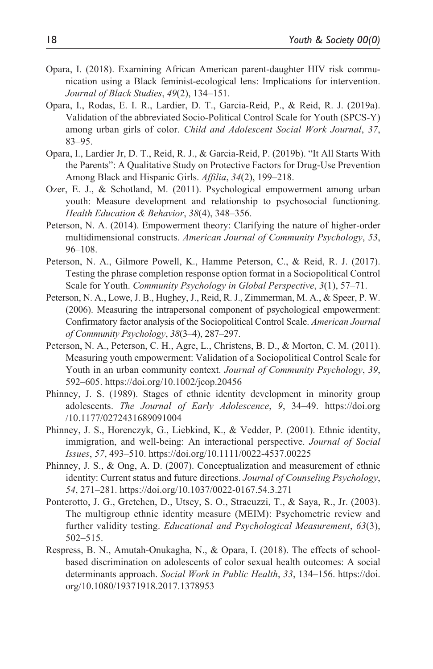- Opara, I. (2018). Examining African American parent-daughter HIV risk communication using a Black feminist-ecological lens: Implications for intervention. *Journal of Black Studies*, *49*(2), 134–151.
- Opara, I., Rodas, E. I. R., Lardier, D. T., Garcia-Reid, P., & Reid, R. J. (2019a). Validation of the abbreviated Socio-Political Control Scale for Youth (SPCS-Y) among urban girls of color. *Child and Adolescent Social Work Journal*, *37*, 83–95.
- Opara, I., Lardier Jr, D. T., Reid, R. J., & Garcia-Reid, P. (2019b). "It All Starts With the Parents": A Qualitative Study on Protective Factors for Drug-Use Prevention Among Black and Hispanic Girls. *Affilia*, *34*(2), 199–218.
- Ozer, E. J., & Schotland, M. (2011). Psychological empowerment among urban youth: Measure development and relationship to psychosocial functioning. *Health Education & Behavior*, *38*(4), 348–356.
- Peterson, N. A. (2014). Empowerment theory: Clarifying the nature of higher-order multidimensional constructs. *American Journal of Community Psychology*, *53*, 96–108.
- Peterson, N. A., Gilmore Powell, K., Hamme Peterson, C., & Reid, R. J. (2017). Testing the phrase completion response option format in a Sociopolitical Control Scale for Youth. *Community Psychology in Global Perspective*, *3*(1), 57–71.
- Peterson, N. A., Lowe, J. B., Hughey, J., Reid, R. J., Zimmerman, M. A., & Speer, P. W. (2006). Measuring the intrapersonal component of psychological empowerment: Confirmatory factor analysis of the Sociopolitical Control Scale. *American Journal of Community Psychology*, *38*(3–4), 287–297.
- Peterson, N. A., Peterson, C. H., Agre, L., Christens, B. D., & Morton, C. M. (2011). Measuring youth empowerment: Validation of a Sociopolitical Control Scale for Youth in an urban community context. *Journal of Community Psychology*, *39*, 592–605. <https://doi.org/10.1002/jcop.20456>
- Phinney, J. S. (1989). Stages of ethnic identity development in minority group adolescents. *The Journal of Early Adolescence*, *9*, 34–49. [https://doi.org](https://doi.org/10.1177/0272431689091004) [/10.1177/0272431689091004](https://doi.org/10.1177/0272431689091004)
- Phinney, J. S., Horenczyk, G., Liebkind, K., & Vedder, P. (2001). Ethnic identity, immigration, and well-being: An interactional perspective. *Journal of Social Issues*, *57*, 493–510. <https://doi.org/10.1111/0022-4537.00225>
- Phinney, J. S., & Ong, A. D. (2007). Conceptualization and measurement of ethnic identity: Current status and future directions. *Journal of Counseling Psychology*, *54*, 271–281. <https://doi.org/10.1037/0022-0167.54.3.271>
- Ponterotto, J. G., Gretchen, D., Utsey, S. O., Stracuzzi, T., & Saya, R., Jr. (2003). The multigroup ethnic identity measure (MEIM): Psychometric review and further validity testing. *Educational and Psychological Measurement*, *63*(3), 502–515.
- Respress, B. N., Amutah-Onukagha, N., & Opara, I. (2018). The effects of schoolbased discrimination on adolescents of color sexual health outcomes: A social determinants approach. *Social Work in Public Health*, *33*, 134–156. [https://doi.](https://doi.org/10.1080/19371918.2017.1378953) [org/10.1080/19371918.2017.1378953](https://doi.org/10.1080/19371918.2017.1378953)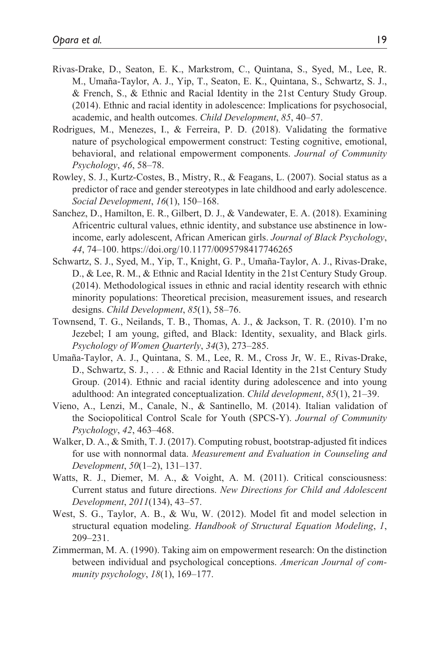- Rivas-Drake, D., Seaton, E. K., Markstrom, C., Quintana, S., Syed, M., Lee, R. M., Umaña-Taylor, A. J., Yip, T., Seaton, E. K., Quintana, S., Schwartz, S. J., & French, S., & Ethnic and Racial Identity in the 21st Century Study Group. (2014). Ethnic and racial identity in adolescence: Implications for psychosocial, academic, and health outcomes. *Child Development*, *85*, 40–57.
- Rodrigues, M., Menezes, I., & Ferreira, P. D. (2018). Validating the formative nature of psychological empowerment construct: Testing cognitive, emotional, behavioral, and relational empowerment components. *Journal of Community Psychology*, *46*, 58–78.
- Rowley, S. J., Kurtz-Costes, B., Mistry, R., & Feagans, L. (2007). Social status as a predictor of race and gender stereotypes in late childhood and early adolescence. *Social Development*, *16*(1), 150–168.
- Sanchez, D., Hamilton, E. R., Gilbert, D. J., & Vandewater, E. A. (2018). Examining Africentric cultural values, ethnic identity, and substance use abstinence in lowincome, early adolescent, African American girls. *Journal of Black Psychology*, *44*, 74–100. <https://doi.org/10.1177/0095798417746265>
- Schwartz, S. J., Syed, M., Yip, T., Knight, G. P., Umaña-Taylor, A. J., Rivas-Drake, D., & Lee, R. M., & Ethnic and Racial Identity in the 21st Century Study Group. (2014). Methodological issues in ethnic and racial identity research with ethnic minority populations: Theoretical precision, measurement issues, and research designs. *Child Development*, *85*(1), 58–76.
- Townsend, T. G., Neilands, T. B., Thomas, A. J., & Jackson, T. R. (2010). I'm no Jezebel; I am young, gifted, and Black: Identity, sexuality, and Black girls. *Psychology of Women Quarterly*, *34*(3), 273–285.
- Umaña-Taylor, A. J., Quintana, S. M., Lee, R. M., Cross Jr, W. E., Rivas-Drake, D., Schwartz, S. J., . . . & Ethnic and Racial Identity in the 21st Century Study Group. (2014). Ethnic and racial identity during adolescence and into young adulthood: An integrated conceptualization. *Child development*, *85*(1), 21–39.
- Vieno, A., Lenzi, M., Canale, N., & Santinello, M. (2014). Italian validation of the Sociopolitical Control Scale for Youth (SPCS-Y). *Journal of Community Psychology*, *42*, 463–468.
- Walker, D. A., & Smith, T. J. (2017). Computing robust, bootstrap-adjusted fit indices for use with nonnormal data. *Measurement and Evaluation in Counseling and Development*, *50*(1–2), 131–137.
- Watts, R. J., Diemer, M. A., & Voight, A. M. (2011). Critical consciousness: Current status and future directions. *New Directions for Child and Adolescent Development*, *2011*(134), 43–57.
- West, S. G., Taylor, A. B., & Wu, W. (2012). Model fit and model selection in structural equation modeling. *Handbook of Structural Equation Modeling*, *1*, 209–231.
- Zimmerman, M. A. (1990). Taking aim on empowerment research: On the distinction between individual and psychological conceptions. *American Journal of community psychology*, *18*(1), 169–177.